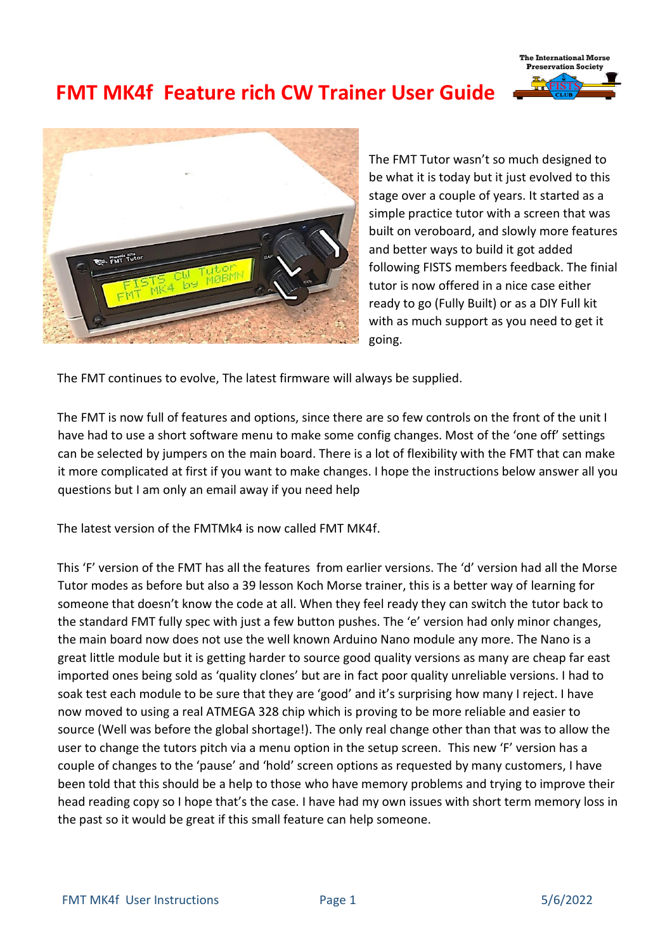# **FMT MK4f Feature rich CW Trainer User Guide**





The FMT Tutor wasn't so much designed to be what it is today but it just evolved to this stage over a couple of years. It started as a simple practice tutor with a screen that was built on veroboard, and slowly more features and better ways to build it got added following FISTS members feedback. The finial tutor is now offered in a nice case either ready to go (Fully Built) or as a DIY Full kit with as much support as you need to get it going.

The FMT continues to evolve, The latest firmware will always be supplied.

The FMT is now full of features and options, since there are so few controls on the front of the unit I have had to use a short software menu to make some config changes. Most of the 'one off' settings can be selected by jumpers on the main board. There is a lot of flexibility with the FMT that can make it more complicated at first if you want to make changes. I hope the instructions below answer all you questions but I am only an email away if you need help

The latest version of the FMTMk4 is now called FMT MK4f.

This 'F' version of the FMT has all the features from earlier versions. The 'd' version had all the Morse Tutor modes as before but also a 39 lesson Koch Morse trainer, this is a better way of learning for someone that doesn't know the code at all. When they feel ready they can switch the tutor back to the standard FMT fully spec with just a few button pushes. The 'e' version had only minor changes, the main board now does not use the well known Arduino Nano module any more. The Nano is a great little module but it is getting harder to source good quality versions as many are cheap far east imported ones being sold as 'quality clones' but are in fact poor quality unreliable versions. I had to soak test each module to be sure that they are 'good' and it's surprising how many I reject. I have now moved to using a real ATMEGA 328 chip which is proving to be more reliable and easier to source (Well was before the global shortage!). The only real change other than that was to allow the user to change the tutors pitch via a menu option in the setup screen. This new 'F' version has a couple of changes to the 'pause' and 'hold' screen options as requested by many customers, I have been told that this should be a help to those who have memory problems and trying to improve their head reading copy so I hope that's the case. I have had my own issues with short term memory loss in the past so it would be great if this small feature can help someone.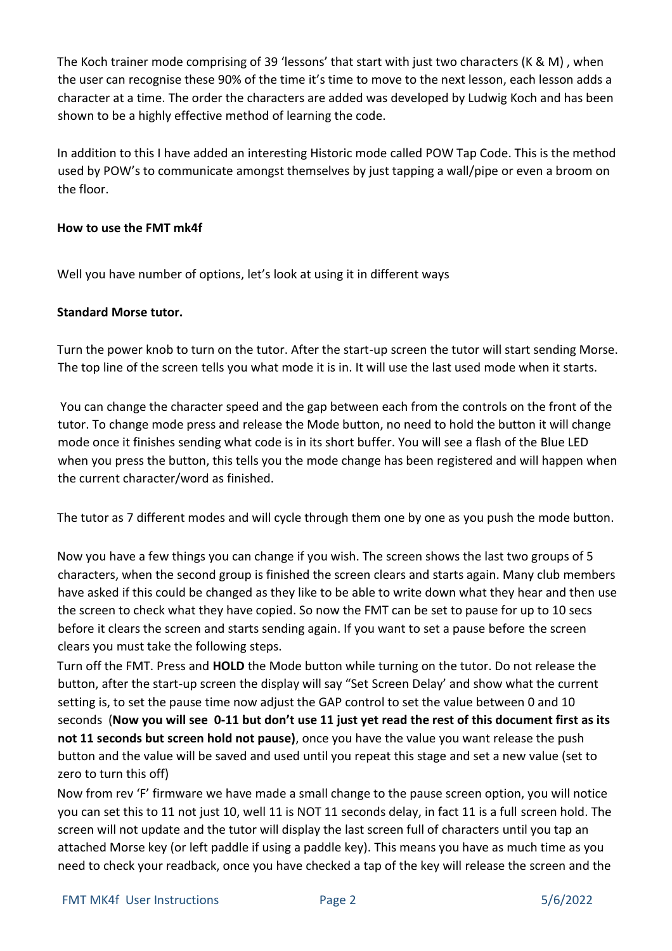The Koch trainer mode comprising of 39 'lessons' that start with just two characters (K & M) , when the user can recognise these 90% of the time it's time to move to the next lesson, each lesson adds a character at a time. The order the characters are added was developed by Ludwig Koch and has been shown to be a highly effective method of learning the code.

In addition to this I have added an interesting Historic mode called POW Tap Code. This is the method used by POW's to communicate amongst themselves by just tapping a wall/pipe or even a broom on the floor.

## **How to use the FMT mk4f**

Well you have number of options, let's look at using it in different ways

### **Standard Morse tutor.**

Turn the power knob to turn on the tutor. After the start-up screen the tutor will start sending Morse. The top line of the screen tells you what mode it is in. It will use the last used mode when it starts.

You can change the character speed and the gap between each from the controls on the front of the tutor. To change mode press and release the Mode button, no need to hold the button it will change mode once it finishes sending what code is in its short buffer. You will see a flash of the Blue LED when you press the button, this tells you the mode change has been registered and will happen when the current character/word as finished.

The tutor as 7 different modes and will cycle through them one by one as you push the mode button.

Now you have a few things you can change if you wish. The screen shows the last two groups of 5 characters, when the second group is finished the screen clears and starts again. Many club members have asked if this could be changed as they like to be able to write down what they hear and then use the screen to check what they have copied. So now the FMT can be set to pause for up to 10 secs before it clears the screen and starts sending again. If you want to set a pause before the screen clears you must take the following steps.

Turn off the FMT. Press and **HOLD** the Mode button while turning on the tutor. Do not release the button, after the start-up screen the display will say "Set Screen Delay' and show what the current setting is, to set the pause time now adjust the GAP control to set the value between 0 and 10 seconds (**Now you will see 0-11 but don't use 11 just yet read the rest of this document first as its not 11 seconds but screen hold not pause)**, once you have the value you want release the push button and the value will be saved and used until you repeat this stage and set a new value (set to zero to turn this off)

Now from rev 'F' firmware we have made a small change to the pause screen option, you will notice you can set this to 11 not just 10, well 11 is NOT 11 seconds delay, in fact 11 is a full screen hold. The screen will not update and the tutor will display the last screen full of characters until you tap an attached Morse key (or left paddle if using a paddle key). This means you have as much time as you need to check your readback, once you have checked a tap of the key will release the screen and the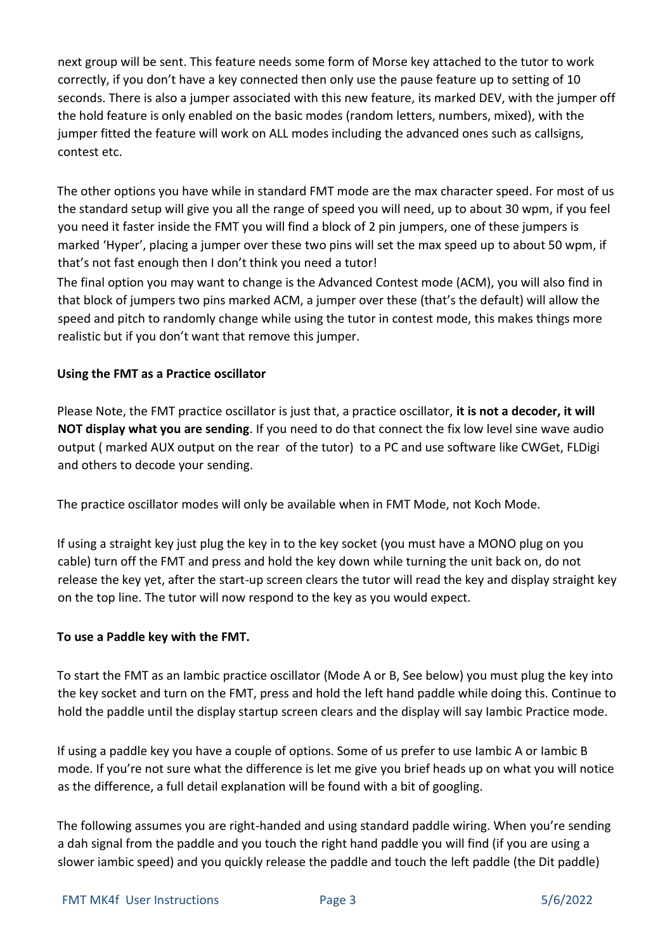next group will be sent. This feature needs some form of Morse key attached to the tutor to work correctly, if you don't have a key connected then only use the pause feature up to setting of 10 seconds. There is also a jumper associated with this new feature, its marked DEV, with the jumper off the hold feature is only enabled on the basic modes (random letters, numbers, mixed), with the jumper fitted the feature will work on ALL modes including the advanced ones such as callsigns, contest etc.

The other options you have while in standard FMT mode are the max character speed. For most of us the standard setup will give you all the range of speed you will need, up to about 30 wpm, if you feel you need it faster inside the FMT you will find a block of 2 pin jumpers, one of these jumpers is marked 'Hyper', placing a jumper over these two pins will set the max speed up to about 50 wpm, if that's not fast enough then I don't think you need a tutor!

The final option you may want to change is the Advanced Contest mode (ACM), you will also find in that block of jumpers two pins marked ACM, a jumper over these (that's the default) will allow the speed and pitch to randomly change while using the tutor in contest mode, this makes things more realistic but if you don't want that remove this jumper.

# **Using the FMT as a Practice oscillator**

Please Note, the FMT practice oscillator is just that, a practice oscillator, **it is not a decoder, it will NOT display what you are sending**. If you need to do that connect the fix low level sine wave audio output ( marked AUX output on the rear of the tutor) to a PC and use software like CWGet, FLDigi and others to decode your sending.

The practice oscillator modes will only be available when in FMT Mode, not Koch Mode.

If using a straight key just plug the key in to the key socket (you must have a MONO plug on you cable) turn off the FMT and press and hold the key down while turning the unit back on, do not release the key yet, after the start-up screen clears the tutor will read the key and display straight key on the top line. The tutor will now respond to the key as you would expect.

# **To use a Paddle key with the FMT.**

To start the FMT as an Iambic practice oscillator (Mode A or B, See below) you must plug the key into the key socket and turn on the FMT, press and hold the left hand paddle while doing this. Continue to hold the paddle until the display startup screen clears and the display will say Iambic Practice mode.

If using a paddle key you have a couple of options. Some of us prefer to use Iambic A or Iambic B mode. If you're not sure what the difference is let me give you brief heads up on what you will notice as the difference, a full detail explanation will be found with a bit of googling.

The following assumes you are right-handed and using standard paddle wiring. When you're sending a dah signal from the paddle and you touch the right hand paddle you will find (if you are using a slower iambic speed) and you quickly release the paddle and touch the left paddle (the Dit paddle)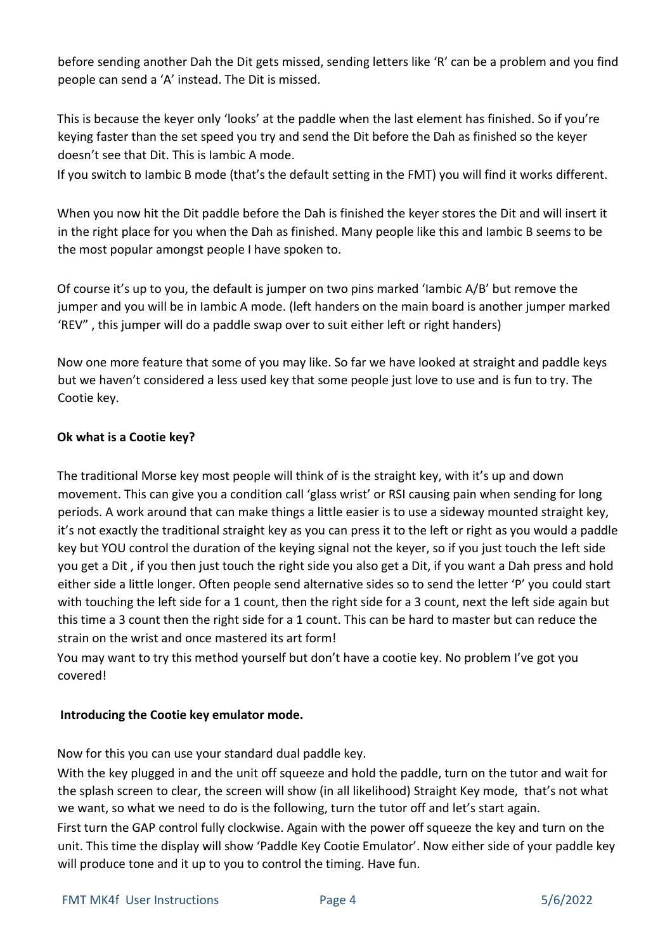before sending another Dah the Dit gets missed, sending letters like 'R' can be a problem and you find people can send a 'A' instead. The Dit is missed.

This is because the keyer only 'looks' at the paddle when the last element has finished. So if you're keying faster than the set speed you try and send the Dit before the Dah as finished so the keyer doesn't see that Dit. This is Iambic A mode.

If you switch to Iambic B mode (that's the default setting in the FMT) you will find it works different.

When you now hit the Dit paddle before the Dah is finished the keyer stores the Dit and will insert it in the right place for you when the Dah as finished. Many people like this and Iambic B seems to be the most popular amongst people I have spoken to.

Of course it's up to you, the default is jumper on two pins marked 'Iambic A/B' but remove the jumper and you will be in Iambic A mode. (left handers on the main board is another jumper marked 'REV" , this jumper will do a paddle swap over to suit either left or right handers)

Now one more feature that some of you may like. So far we have looked at straight and paddle keys but we haven't considered a less used key that some people just love to use and is fun to try. The Cootie key.

# **Ok what is a Cootie key?**

The traditional Morse key most people will think of is the straight key, with it's up and down movement. This can give you a condition call 'glass wrist' or RSI causing pain when sending for long periods. A work around that can make things a little easier is to use a sideway mounted straight key, it's not exactly the traditional straight key as you can press it to the left or right as you would a paddle key but YOU control the duration of the keying signal not the keyer, so if you just touch the left side you get a Dit , if you then just touch the right side you also get a Dit, if you want a Dah press and hold either side a little longer. Often people send alternative sides so to send the letter 'P' you could start with touching the left side for a 1 count, then the right side for a 3 count, next the left side again but this time a 3 count then the right side for a 1 count. This can be hard to master but can reduce the strain on the wrist and once mastered its art form!

You may want to try this method yourself but don't have a cootie key. No problem I've got you covered!

# **Introducing the Cootie key emulator mode.**

Now for this you can use your standard dual paddle key.

With the key plugged in and the unit off squeeze and hold the paddle, turn on the tutor and wait for the splash screen to clear, the screen will show (in all likelihood) Straight Key mode, that's not what we want, so what we need to do is the following, turn the tutor off and let's start again.

First turn the GAP control fully clockwise. Again with the power off squeeze the key and turn on the unit. This time the display will show 'Paddle Key Cootie Emulator'. Now either side of your paddle key will produce tone and it up to you to control the timing. Have fun.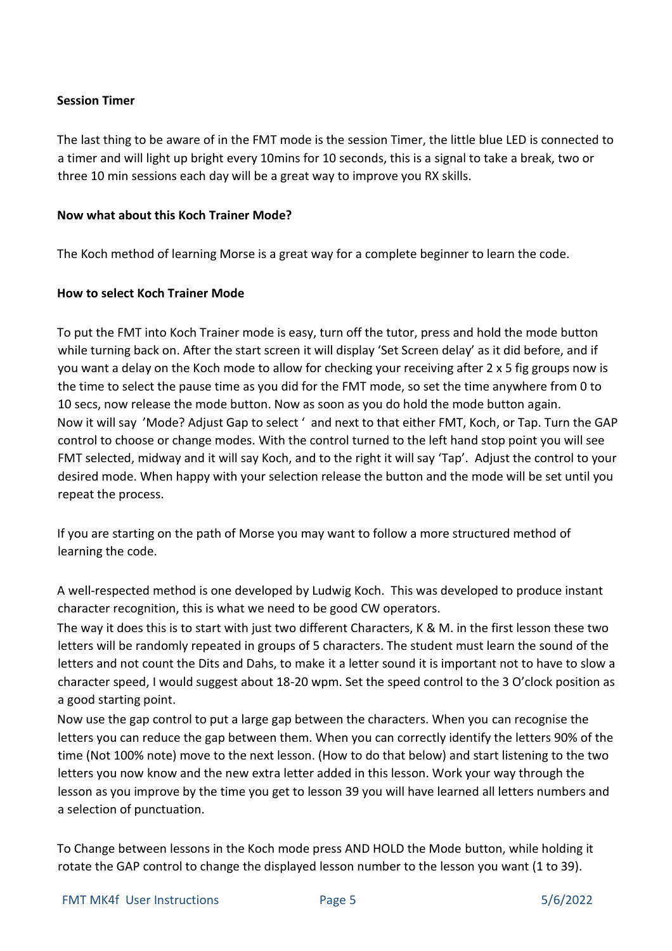## **Session Timer**

The last thing to be aware of in the FMT mode is the session Timer, the little blue LED is connected to a timer and will light up bright every 10mins for 10 seconds, this is a signal to take a break, two or three 10 min sessions each day will be a great way to improve you RX skills.

### **Now what about this Koch Trainer Mode?**

The Koch method of learning Morse is a great way for a complete beginner to learn the code.

# **How to select Koch Trainer Mode**

To put the FMT into Koch Trainer mode is easy, turn off the tutor, press and hold the mode button while turning back on. After the start screen it will display 'Set Screen delay' as it did before, and if you want a delay on the Koch mode to allow for checking your receiving after 2 x 5 fig groups now is the time to select the pause time as you did for the FMT mode, so set the time anywhere from 0 to 10 secs, now release the mode button. Now as soon as you do hold the mode button again. Now it will say 'Mode? Adjust Gap to select ' and next to that either FMT, Koch, or Tap. Turn the GAP control to choose or change modes. With the control turned to the left hand stop point you will see FMT selected, midway and it will say Koch, and to the right it will say 'Tap'. Adjust the control to your desired mode. When happy with your selection release the button and the mode will be set until you repeat the process.

If you are starting on the path of Morse you may want to follow a more structured method of learning the code.

A well-respected method is one developed by Ludwig Koch. This was developed to produce instant character recognition, this is what we need to be good CW operators.

The way it does this is to start with just two different Characters, K & M. in the first lesson these two letters will be randomly repeated in groups of 5 characters. The student must learn the sound of the letters and not count the Dits and Dahs, to make it a letter sound it is important not to have to slow a character speed, I would suggest about 18-20 wpm. Set the speed control to the 3 O'clock position as a good starting point.

Now use the gap control to put a large gap between the characters. When you can recognise the letters you can reduce the gap between them. When you can correctly identify the letters 90% of the time (Not 100% note) move to the next lesson. (How to do that below) and start listening to the two letters you now know and the new extra letter added in this lesson. Work your way through the lesson as you improve by the time you get to lesson 39 you will have learned all letters numbers and a selection of punctuation.

To Change between lessons in the Koch mode press AND HOLD the Mode button, while holding it rotate the GAP control to change the displayed lesson number to the lesson you want (1 to 39).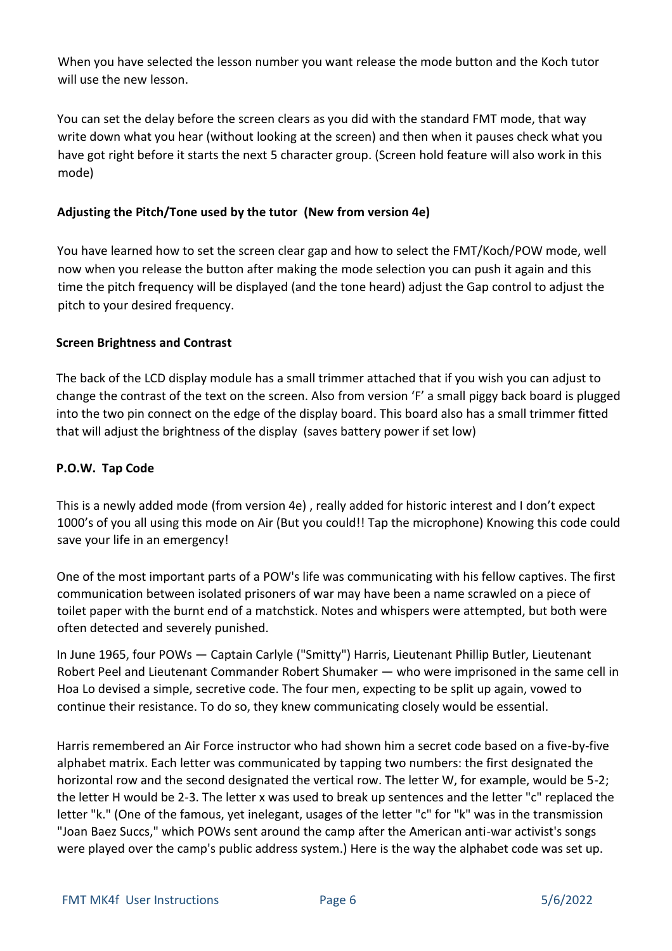When you have selected the lesson number you want release the mode button and the Koch tutor will use the new lesson.

You can set the delay before the screen clears as you did with the standard FMT mode, that way write down what you hear (without looking at the screen) and then when it pauses check what you have got right before it starts the next 5 character group. (Screen hold feature will also work in this mode)

# **Adjusting the Pitch/Tone used by the tutor (New from version 4e)**

You have learned how to set the screen clear gap and how to select the FMT/Koch/POW mode, well now when you release the button after making the mode selection you can push it again and this time the pitch frequency will be displayed (and the tone heard) adjust the Gap control to adjust the pitch to your desired frequency.

#### **Screen Brightness and Contrast**

The back of the LCD display module has a small trimmer attached that if you wish you can adjust to change the contrast of the text on the screen. Also from version 'F' a small piggy back board is plugged into the two pin connect on the edge of the display board. This board also has a small trimmer fitted that will adjust the brightness of the display (saves battery power if set low)

#### **P.O.W. Tap Code**

This is a newly added mode (from version 4e) , really added for historic interest and I don't expect 1000's of you all using this mode on Air (But you could!! Tap the microphone) Knowing this code could save your life in an emergency!

One of the most important parts of a POW's life was communicating with his fellow captives. The first communication between isolated prisoners of war may have been a name scrawled on a piece of toilet paper with the burnt end of a matchstick. Notes and whispers were attempted, but both were often detected and severely punished.

In June 1965, four POWs — Captain Carlyle ("Smitty") Harris, Lieutenant Phillip Butler, Lieutenant Robert Peel and Lieutenant Commander Robert Shumaker — who were imprisoned in the same cell in Hoa Lo devised a simple, secretive code. The four men, expecting to be split up again, vowed to continue their resistance. To do so, they knew communicating closely would be essential.

Harris remembered an Air Force instructor who had shown him a secret code based on a five-by-five alphabet matrix. Each letter was communicated by tapping two numbers: the first designated the horizontal row and the second designated the vertical row. The letter W, for example, would be 5-2; the letter H would be 2-3. The letter x was used to break up sentences and the letter "c" replaced the letter "k." (One of the famous, yet inelegant, usages of the letter "c" for "k" was in the transmission "Joan Baez Succs," which POWs sent around the camp after the American anti-war activist's songs were played over the camp's public address system.) Here is the way the alphabet code was set up.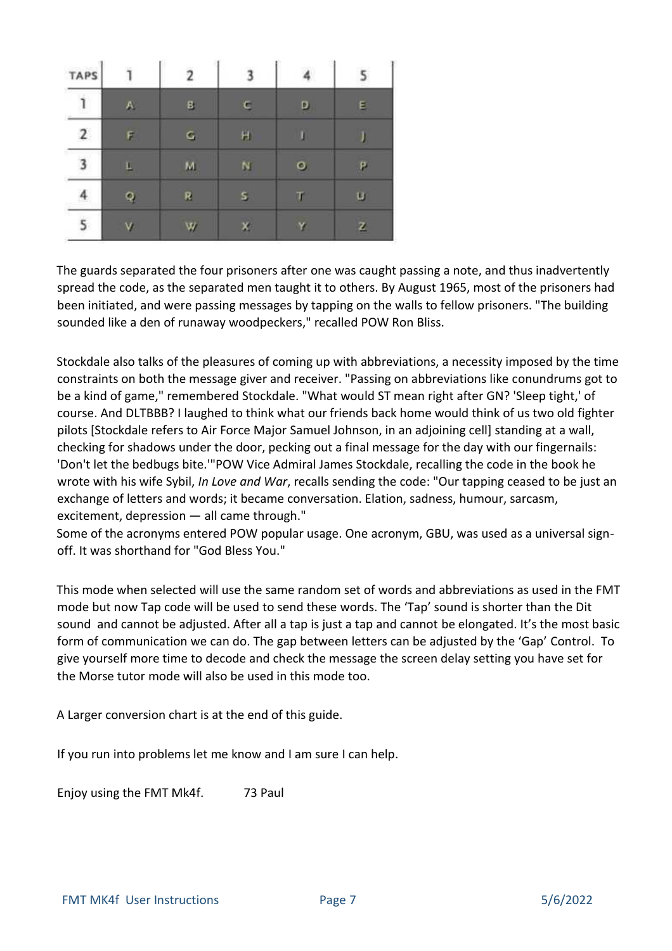| <b>TAPS</b> |    |  |   |
|-------------|----|--|---|
|             | B  |  | Е |
|             | G, |  |   |
|             | м  |  |   |
|             |    |  |   |
|             |    |  |   |

The guards separated the four prisoners after one was caught passing a note, and thus inadvertently spread the code, as the separated men taught it to others. By August 1965, most of the prisoners had been initiated, and were passing messages by tapping on the walls to fellow prisoners. "The building sounded like a den of runaway woodpeckers," recalled POW Ron Bliss.

Stockdale also talks of the pleasures of coming up with abbreviations, a necessity imposed by the time constraints on both the message giver and receiver. "Passing on abbreviations like conundrums got to be a kind of game," remembered Stockdale. "What would ST mean right after GN? 'Sleep tight,' of course. And DLTBBB? I laughed to think what our friends back home would think of us two old fighter pilots [Stockdale refers to Air Force Major Samuel Johnson, in an adjoining cell] standing at a wall, checking for shadows under the door, pecking out a final message for the day with our fingernails: 'Don't let the bedbugs bite.'"POW Vice Admiral James Stockdale, recalling the code in the book he wrote with his wife Sybil, *In Love and War*, recalls sending the code: "Our tapping ceased to be just an exchange of letters and words; it became conversation. Elation, sadness, humour, sarcasm, excitement, depression — all came through."

Some of the acronyms entered POW popular usage. One acronym, GBU, was used as a universal signoff. It was shorthand for "God Bless You."

This mode when selected will use the same random set of words and abbreviations as used in the FMT mode but now Tap code will be used to send these words. The 'Tap' sound is shorter than the Dit sound and cannot be adjusted. After all a tap is just a tap and cannot be elongated. It's the most basic form of communication we can do. The gap between letters can be adjusted by the 'Gap' Control. To give yourself more time to decode and check the message the screen delay setting you have set for the Morse tutor mode will also be used in this mode too.

A Larger conversion chart is at the end of this guide.

If you run into problems let me know and I am sure I can help.

Enjoy using the FMT Mk4f. 73 Paul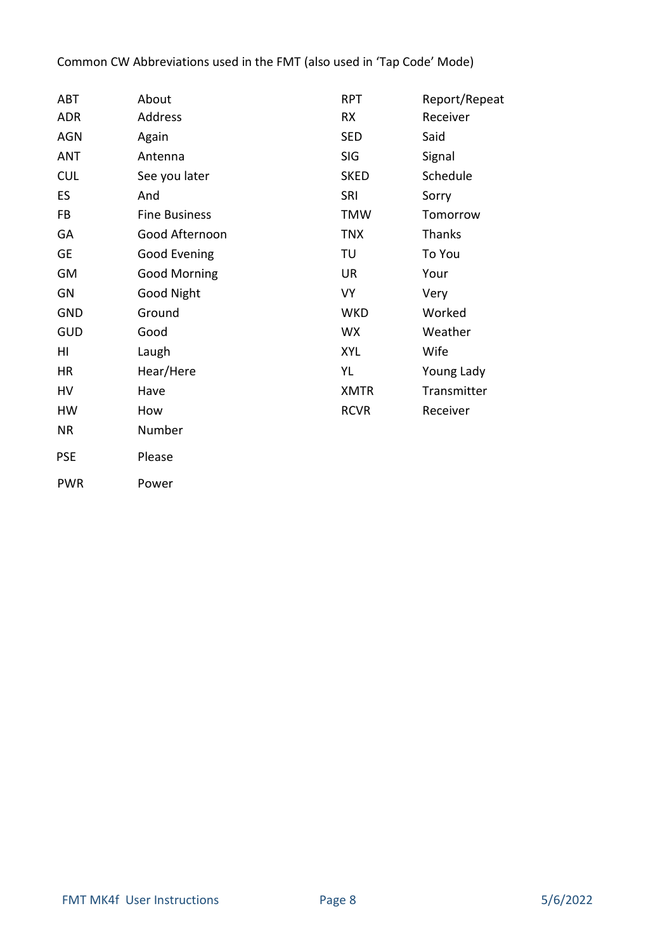# Common CW Abbreviations used in the FMT (also used in 'Tap Code' Mode)

| ABT        | About                | <b>RPT</b>  | Report/Repeat |  |
|------------|----------------------|-------------|---------------|--|
| <b>ADR</b> | Address              | <b>RX</b>   | Receiver      |  |
| <b>AGN</b> | Again                | <b>SED</b>  | Said          |  |
| <b>ANT</b> | Antenna              | <b>SIG</b>  | Signal        |  |
| <b>CUL</b> | See you later        | <b>SKED</b> | Schedule      |  |
| ES         | And                  | SRI         | Sorry         |  |
| FB         | <b>Fine Business</b> | <b>TMW</b>  | Tomorrow      |  |
| GA         | Good Afternoon       | <b>TNX</b>  | <b>Thanks</b> |  |
| GE         | Good Evening         | TU          | To You        |  |
| <b>GM</b>  | <b>Good Morning</b>  | <b>UR</b>   | Your          |  |
| GN         | <b>Good Night</b>    | <b>VY</b>   | Very          |  |
| <b>GND</b> | Ground               | <b>WKD</b>  | Worked        |  |
| <b>GUD</b> | Good                 | <b>WX</b>   | Weather       |  |
| HI         | Laugh                | <b>XYL</b>  | Wife          |  |
| <b>HR</b>  | Hear/Here            | YL          | Young Lady    |  |
| HV         | Have                 | <b>XMTR</b> | Transmitter   |  |
| HW         | How                  | <b>RCVR</b> | Receiver      |  |
| <b>NR</b>  | Number               |             |               |  |
| <b>PSE</b> | Please               |             |               |  |
| <b>PWR</b> | Power                |             |               |  |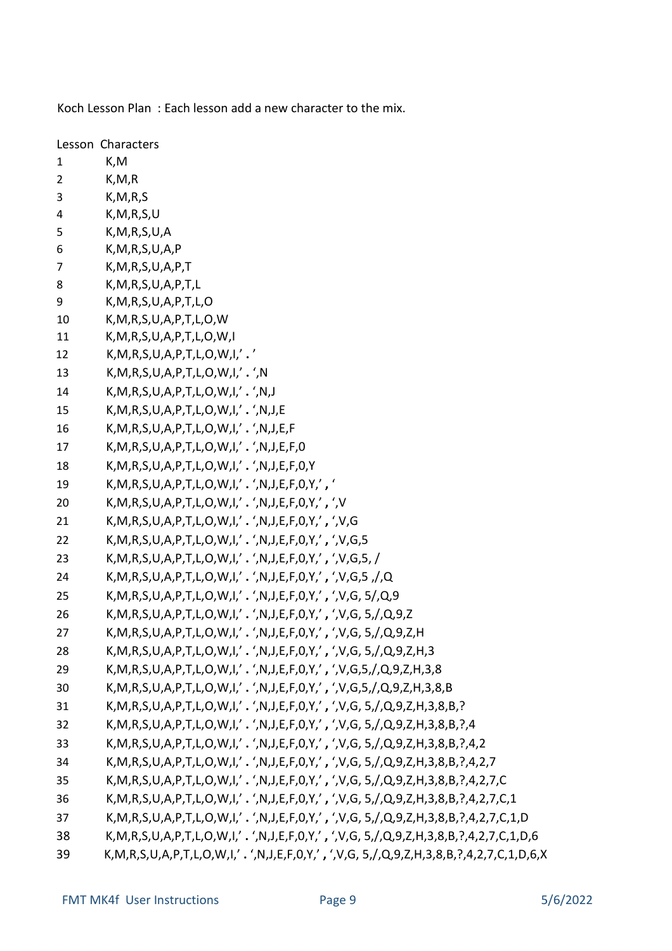Koch Lesson Plan : Each lesson add a new character to the mix.

|                | Lesson Characters                                                                                                                                                                                                                                                                                                                                 |
|----------------|---------------------------------------------------------------------------------------------------------------------------------------------------------------------------------------------------------------------------------------------------------------------------------------------------------------------------------------------------|
| $\mathbf{1}$   | K,M                                                                                                                                                                                                                                                                                                                                               |
| $\overline{2}$ | K, M, R                                                                                                                                                                                                                                                                                                                                           |
| 3              | K, M, R, S                                                                                                                                                                                                                                                                                                                                        |
| 4              | K, M, R, S, U                                                                                                                                                                                                                                                                                                                                     |
| 5              | K, M, R, S, U, A                                                                                                                                                                                                                                                                                                                                  |
| 6              | K, M, R, S, U, A, P                                                                                                                                                                                                                                                                                                                               |
| 7              | K, M, R, S, U, A, P, T                                                                                                                                                                                                                                                                                                                            |
| 8              | K, M, R, S, U, A, P, T, L                                                                                                                                                                                                                                                                                                                         |
| 9              | K, M, R, S, U, A, P, T, L, O                                                                                                                                                                                                                                                                                                                      |
| 10             | K, M, R, S, U, A, P, T, L, O, W                                                                                                                                                                                                                                                                                                                   |
| 11             | K, M, R, S, U, A, P, T, L, O, W, I                                                                                                                                                                                                                                                                                                                |
| 12             | $K, M, R, S, U, A, P, T, L, O, W, I, '$ .                                                                                                                                                                                                                                                                                                         |
| 13             | $K, M, R, S, U, A, P, T, L, O, W, I, '$ . ', N                                                                                                                                                                                                                                                                                                    |
| 14             | K, M, R, S, U, A, P, T, L, O, W, I,' . ', N, J                                                                                                                                                                                                                                                                                                    |
| 15             | $K, M, R, S, U, A, P, T, L, O, W, I, '$ . ', N, J, E                                                                                                                                                                                                                                                                                              |
| 16             | $K, M, R, S, U, A, P, T, L, O, W, I, '$ . ', N, J, E, F                                                                                                                                                                                                                                                                                           |
| 17             | K, M, R, S, U, A, P, T, L, O, W, I,' . ', N, J, E, F, 0                                                                                                                                                                                                                                                                                           |
| 18             | $K, M, R, S, U, A, P, T, L, O, W, I, '$ , ', N, J, E, F, O, Y                                                                                                                                                                                                                                                                                     |
| 19             | $K, M, R, S, U, A, P, T, L, O, W, I, ' \cdot ', N, J, E, F, 0, Y, ' \cdot '$                                                                                                                                                                                                                                                                      |
| 20             | $K, M, R, S, U, A, P, T, L, O, W, I, ' \cdot ', N, J, E, F, O, Y, ' \cdot ', V$                                                                                                                                                                                                                                                                   |
| 21             | $K, M, R, S, U, A, P, T, L, O, W, I, ' \cdot ', N, J, E, F, 0, Y, ', ', 'V, G$                                                                                                                                                                                                                                                                    |
| 22             | $K, M, R, S, U, A, P, T, L, O, W, I, ' \cdot ', N, J, E, F, O, Y, ', ', 'V, G, 5$                                                                                                                                                                                                                                                                 |
| 23             | K, M, R, S, U, A, P, T, L, O, W, I,' . ', N, J, E, F, O, Y,', ', V, G, 5, /                                                                                                                                                                                                                                                                       |
| 24             | $K, M, R, S, U, A, P, T, L, O, W, I, ', ', M, J, E, F, 0, Y, ', ', ', V, G, S, J, Q, W, J, E, F, 0, Y, ', ', 'K, G, S, J, Q, W, J, E, F, 0, Y, ', ', 'K, G, S, J, Q, W, J, E, F, 0, Y, ', ', 'K, G, S, J, Q, W, J, E, F, 0, Y, ', ', 'K, G, S, J, Q, W, J, E, F, 0, Y, 'K, G, S, J, Q, W, J, Z, W, J, E, F, 0, Y, 'K, G, S, J, Q, W, J, Z, W, J,$ |
| 25             | K, M, R, S, U, A, P, T, L, O, W, I,' . ', N, J, E, F, O, Y,', ', V, G, 5/, Q, 9                                                                                                                                                                                                                                                                   |
| 26             | K, M, R, S, U, A, P, T, L, O, W, I,' . ', N, J, E, F, O, Y,', ', V, G, 5, /, Q, 9, Z                                                                                                                                                                                                                                                              |
| 27             | K, M, R, S, U, A, P, T, L, O, W, I,' . ', N, J, E, F, O, Y,', ', V, G, 5, /, Q, 9, Z, H                                                                                                                                                                                                                                                           |
| 28             | K, M, R, S, U, A, P, T, L, O, W, I,' . ', N, J, E, F, O, Y,', ', V, G, 5, /, Q, 9, Z, H, 3                                                                                                                                                                                                                                                        |
| 29             | K, M, R, S, U, A, P, T, L, O, W, I,' . ', N, J, E, F, O, Y,', ', V, G, 5, /, Q, 9, Z, H, 3, 8                                                                                                                                                                                                                                                     |
| 30             | K, M, R, S, U, A, P, T, L, O, W, I,' . ', N, J, E, F, O, Y,', ', V, G, 5, /, Q, 9, Z, H, 3, 8, B                                                                                                                                                                                                                                                  |
| 31             | K, M, R, S, U, A, P, T, L, O, W, I,' . ', N, J, E, F, O, Y,', ', V, G, 5, /, Q, 9, Z, H, 3, 8, B, ?                                                                                                                                                                                                                                               |
| 32             | K, M, R, S, U, A, P, T, L, O, W, I,'. ', N, J, E, F, O, Y,', ', V, G, 5, /, Q, 9, Z, H, 3, 8, B, ?, 4                                                                                                                                                                                                                                             |
| 33             | K, M, R, S, U, A, P, T, L, O, W, I,' . ', N, J, E, F, O, Y,', ', V, G, 5, /, Q, 9, Z, H, 3, 8, B, ?, 4, 2                                                                                                                                                                                                                                         |
| 34             | K, M, R, S, U, A, P, T, L, O, W, I,' . ', N, J, E, F, O, Y,', ', V, G, 5, /, Q, 9, Z, H, 3, 8, B, ?, 4, 2, 7                                                                                                                                                                                                                                      |
| 35             | K, M, R, S, U, A, P, T, L, O, W, I,'. ', N, J, E, F, O, Y,', ', V, G, 5, /, Q, 9, Z, H, 3, 8, B, ?, 4, 2, 7, C                                                                                                                                                                                                                                    |
| 36             | K, M, R, S, U, A, P, T, L, O, W, I,' . ', N, J, E, F, O, Y,', ', V, G, 5, /, Q, 9, Z, H, 3, 8, B, ?, 4, 2, 7, C, 1                                                                                                                                                                                                                                |
| 37             | K, M, R, S, U, A, P, T, L, O, W, I,' . ', N, J, E, F, O, Y,', ', V, G, 5, /, Q, 9, Z, H, 3, 8, B, ?, 4, 2, 7, C, 1, D                                                                                                                                                                                                                             |
| 38             | K, M, R, S, U, A, P, T, L, O, W, I,' . ', N, J, E, F, O, Y,', ', V, G, 5, /, Q, 9, Z, H, 3, 8, B, ?, 4, 2, 7, C, 1, D, 6                                                                                                                                                                                                                          |
| 39             | K, M, R, S, U, A, P, T, L, O, W, I,' . ', N, J, E, F, O, Y,', ', V, G, 5, /, Q, 9, Z, H, 3, 8, B, ?, 4, 2, 7, C, 1, D, 6, X                                                                                                                                                                                                                       |